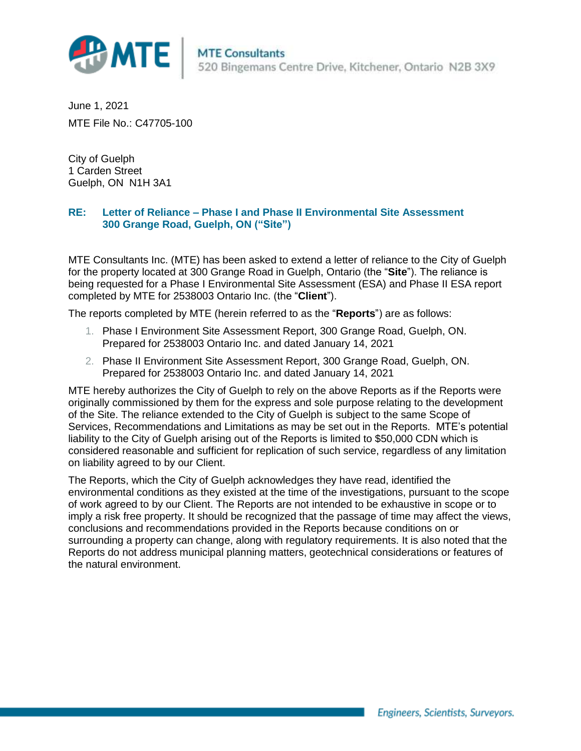

June 1, 2021 MTE File No.: C47705-100

City of Guelph 1 Carden Street Guelph, ON N1H 3A1

## **RE: Letter of Reliance – Phase I and Phase II Environmental Site Assessment 300 Grange Road, Guelph, ON ("Site")**

MTE Consultants Inc. (MTE) has been asked to extend a letter of reliance to the City of Guelph for the property located at 300 Grange Road in Guelph, Ontario (the "**Site**"). The reliance is being requested for a Phase I Environmental Site Assessment (ESA) and Phase II ESA report completed by MTE for 2538003 Ontario Inc. (the "**Client**").

The reports completed by MTE (herein referred to as the "**Reports**") are as follows:

- 1. Phase I Environment Site Assessment Report, 300 Grange Road, Guelph, ON. Prepared for 2538003 Ontario Inc. and dated January 14, 2021
- 2. Phase II Environment Site Assessment Report, 300 Grange Road, Guelph, ON. Prepared for 2538003 Ontario Inc. and dated January 14, 2021

MTE hereby authorizes the City of Guelph to rely on the above Reports as if the Reports were originally commissioned by them for the express and sole purpose relating to the development of the Site. The reliance extended to the City of Guelph is subject to the same Scope of Services, Recommendations and Limitations as may be set out in the Reports. MTE's potential liability to the City of Guelph arising out of the Reports is limited to \$50,000 CDN which is considered reasonable and sufficient for replication of such service, regardless of any limitation on liability agreed to by our Client.

The Reports, which the City of Guelph acknowledges they have read, identified the environmental conditions as they existed at the time of the investigations, pursuant to the scope of work agreed to by our Client. The Reports are not intended to be exhaustive in scope or to imply a risk free property. It should be recognized that the passage of time may affect the views, conclusions and recommendations provided in the Reports because conditions on or surrounding a property can change, along with regulatory requirements. It is also noted that the Reports do not address municipal planning matters, geotechnical considerations or features of the natural environment.